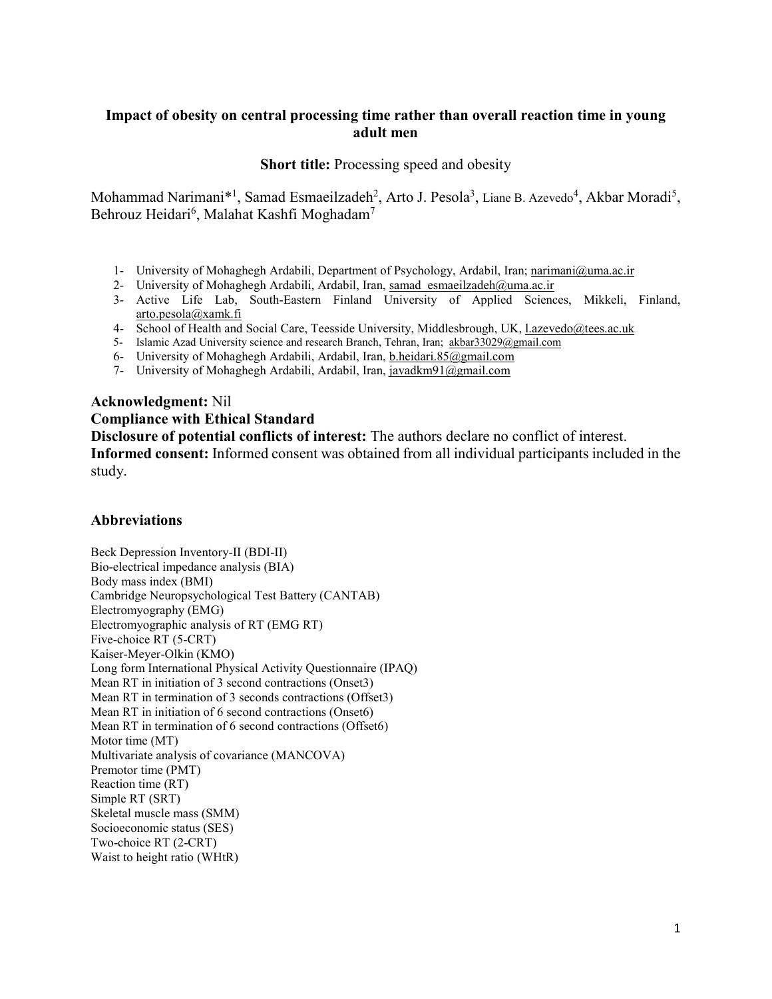## **Impact of obesity on central processing time rather than overall reaction time in young adult men**

**Short title:** Processing speed and obesity

Mohammad Narimani\*<sup>1</sup>, Samad Esmaeilzadeh<sup>2</sup>, Arto J. Pesola<sup>3</sup>, Liane B. Azevedo<sup>4</sup>, Akbar Moradi<sup>5</sup>, Behrouz Heidari $^6$ , Malahat Kashfi Moghadam $^7$ 

- 1- University of Mohaghegh Ardabili, Department of Psychology, Ardabil, Iran; [narimani@uma.ac.ir](mailto:narimani@uma.ac.ir)
- 2- University of Mohaghegh Ardabili, Ardabil, Iran, samad\_esmaeilzadeh@uma.ac.ir
- 3- Active Life Lab, South-Eastern Finland University of Applied Sciences, Mikkeli, Finland, [arto.pesola@xamk.fi](mailto:arto.pesola@xamk.fi)
- 4- School of Health and Social Care, Teesside University, Middlesbrough, UK, [l.azevedo@tees.ac.uk](mailto:l.azevedo@tees.ac.uk)
- 5- Islamic Azad University science and research Branch, Tehran, Iran; [akbar33029@gmail.com](mailto:akbar33029@gmail.com)
- 6- University of Mohaghegh Ardabili, Ardabil, Iran, [b.heidari.85@gmail.com](mailto:b.heidari.85@gmail.com)
- 7- University of Mohaghegh Ardabili, Ardabil, Iran, [javadkm91@gmail.com](mailto:javadkm91@gmail.com)

#### **Acknowledgment:** Nil

### **Compliance with Ethical Standard**

**Disclosure of potential conflicts of interest:** The authors declare no conflict of interest.

**Informed consent:** Informed consent was obtained from all individual participants included in the study.

## **Abbreviations**

Beck Depression Inventory-II (BDI-II) Bio-electrical impedance analysis (BIA) Body mass index (BMI) Cambridge Neuropsychological Test Battery (CANTAB) Electromyography (EMG) Electromyographic analysis of RT (EMG RT) Five-choice RT (5-CRT) Kaiser-Meyer-Olkin (KMO) Long form International Physical Activity Questionnaire (IPAQ) Mean RT in initiation of 3 second contractions (Onset3) Mean RT in termination of 3 seconds contractions (Offset3) Mean RT in initiation of 6 second contractions (Onset6) Mean RT in termination of 6 second contractions (Offset6) Motor time (MT) Multivariate analysis of covariance (MANCOVA) Premotor time (PMT) Reaction time (RT) Simple RT (SRT) Skeletal muscle mass (SMM) Socioeconomic status (SES) Two-choice RT (2-CRT) Waist to height ratio (WHtR)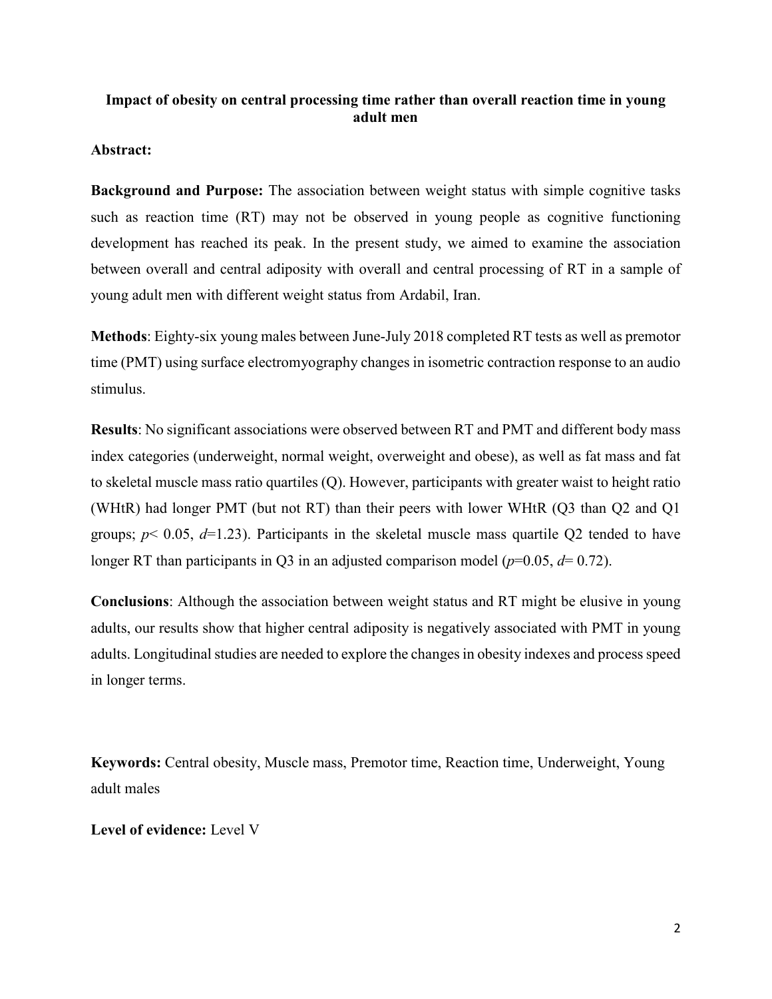# **Impact of obesity on central processing time rather than overall reaction time in young adult men**

## **Abstract:**

**Background and Purpose:** The association between weight status with simple cognitive tasks such as reaction time (RT) may not be observed in young people as cognitive functioning development has reached its peak. In the present study, we aimed to examine the association between overall and central adiposity with overall and central processing of RT in a sample of young adult men with different weight status from Ardabil, Iran.

**Methods**: Eighty-six young males between June-July 2018 completed RT tests as well as premotor time (PMT) using surface electromyography changes in isometric contraction response to an audio stimulus.

**Results**: No significant associations were observed between RT and PMT and different body mass index categories (underweight, normal weight, overweight and obese), as well as fat mass and fat to skeletal muscle mass ratio quartiles (Q). However, participants with greater waist to height ratio (WHtR) had longer PMT (but not RT) than their peers with lower WHtR (Q3 than Q2 and Q1 groups; *p*< 0.05, *d*=1.23). Participants in the skeletal muscle mass quartile Q2 tended to have longer RT than participants in Q3 in an adjusted comparison model ( $p=0.05$ ,  $d=0.72$ ).

**Conclusions**: Although the association between weight status and RT might be elusive in young adults, our results show that higher central adiposity is negatively associated with PMT in young adults. Longitudinal studies are needed to explore the changes in obesity indexes and process speed in longer terms.

**Keywords:** Central obesity, Muscle mass, Premotor time, Reaction time, Underweight, Young adult males

**Level of evidence:** Level V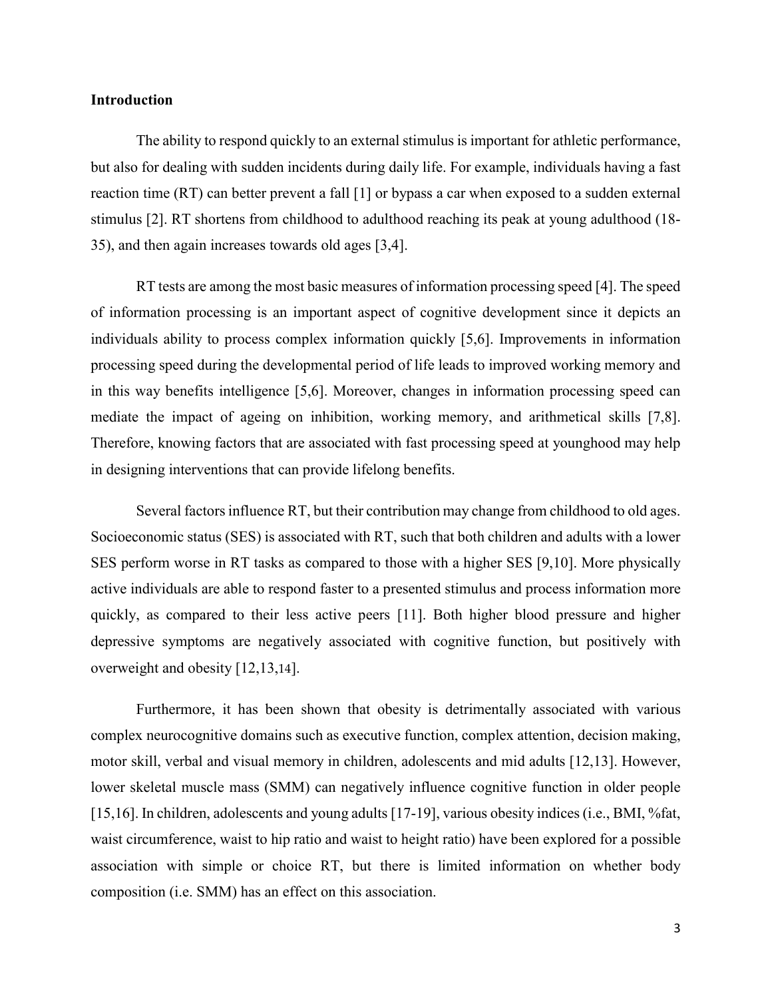## **Introduction**

The ability to respond quickly to an external stimulus is important for athletic performance, but also for dealing with sudden incidents during daily life. For example, individuals having a fast reaction time (RT) can better prevent a fall [1] or bypass a car when exposed to a sudden external stimulus [2]. RT shortens from childhood to adulthood reaching its peak at young adulthood (18- 35), and then again increases towards old ages [3,4].

RT tests are among the most basic measures of information processing speed [4]. The speed of information processing is an important aspect of cognitive development since it depicts an individuals ability to process complex information quickly [5,6]. Improvements in information processing speed during the developmental period of life leads to improved working memory and in this way benefits intelligence [5,6]. Moreover, changes in information processing speed can mediate the impact of ageing on inhibition, working memory, and arithmetical skills [7,8]. Therefore, knowing factors that are associated with fast processing speed at younghood may help in designing interventions that can provide lifelong benefits.

Several factors influence RT, but their contribution may change from childhood to old ages. Socioeconomic status (SES) is associated with RT, such that both children and adults with a lower SES perform worse in RT tasks as compared to those with a higher SES [9,10]. More physically active individuals are able to respond faster to a presented stimulus and process information more quickly, as compared to their less active peers [11]. Both higher blood pressure and higher depressive symptoms are negatively associated with cognitive function, but positively with overweight and obesity [12,13,14].

Furthermore, it has been shown that obesity is detrimentally associated with various complex neurocognitive domains such as executive function, complex attention, decision making, motor skill, verbal and visual memory in children, adolescents and mid adults [12,13]. However, lower skeletal muscle mass (SMM) can negatively influence cognitive function in older people [15,16]. In children, adolescents and young adults [17-19], various obesity indices (i.e., BMI, %fat, waist circumference, waist to hip ratio and waist to height ratio) have been explored for a possible association with simple or choice RT, but there is limited information on whether body composition (i.e. SMM) has an effect on this association.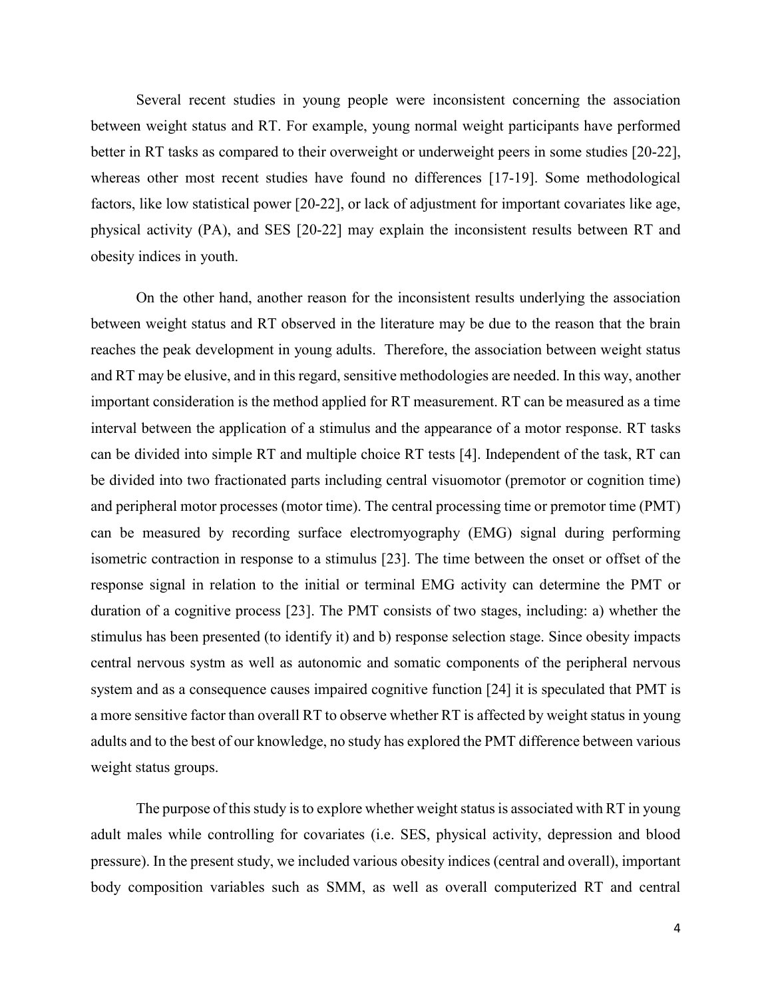Several recent studies in young people were inconsistent concerning the association between weight status and RT. For example, young normal weight participants have performed better in RT tasks as compared to their overweight or underweight peers in some studies [20-22], whereas other most recent studies have found no differences [17-19]. Some methodological factors, like low statistical power [20-22], or lack of adjustment for important covariates like age, physical activity (PA), and SES [20-22] may explain the inconsistent results between RT and obesity indices in youth.

On the other hand, another reason for the inconsistent results underlying the association between weight status and RT observed in the literature may be due to the reason that the brain reaches the peak development in young adults. Therefore, the association between weight status and RT may be elusive, and in this regard, sensitive methodologies are needed. In this way, another important consideration is the method applied for RT measurement. RT can be measured as a time interval between the application of a stimulus and the appearance of a motor response. RT tasks can be divided into simple RT and multiple choice RT tests [4]. Independent of the task, RT can be divided into two fractionated parts including central visuomotor (premotor or cognition time) and peripheral motor processes (motor time). The central processing time or premotor time (PMT) can be measured by recording surface electromyography (EMG) signal during performing isometric contraction in response to a stimulus [23]. The time between the onset or offset of the response signal in relation to the initial or terminal EMG activity can determine the PMT or duration of a cognitive process [23]. The PMT consists of two stages, including: a) whether the stimulus has been presented (to identify it) and b) response selection stage. Since obesity impacts central nervous systm as well as autonomic and somatic components of the peripheral nervous system and as a consequence causes impaired cognitive function [24] it is speculated that PMT is a more sensitive factor than overall RT to observe whether RT is affected by weight status in young adults and to the best of our knowledge, no study has explored the PMT difference between various weight status groups.

The purpose of this study is to explore whether weight status is associated with RT in young adult males while controlling for covariates (i.e. SES, physical activity, depression and blood pressure). In the present study, we included various obesity indices (central and overall), important body composition variables such as SMM, as well as overall computerized RT and central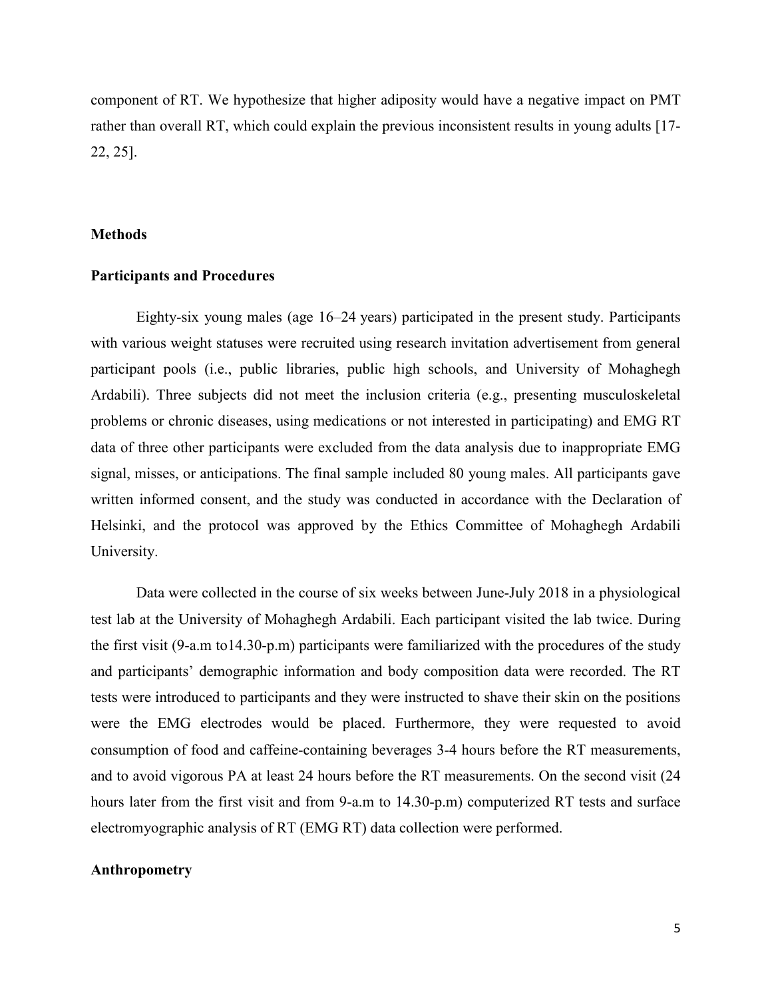component of RT. We hypothesize that higher adiposity would have a negative impact on PMT rather than overall RT, which could explain the previous inconsistent results in young adults [17- 22, 25].

#### **Methods**

#### **Participants and Procedures**

Eighty-six young males (age 16–24 years) participated in the present study. Participants with various weight statuses were recruited using research invitation advertisement from general participant pools (i.e., public libraries, public high schools, and University of Mohaghegh Ardabili). Three subjects did not meet the inclusion criteria (e.g., presenting musculoskeletal problems or chronic diseases, using medications or not interested in participating) and EMG RT data of three other participants were excluded from the data analysis due to inappropriate EMG signal, misses, or anticipations. The final sample included 80 young males. All participants gave written informed consent, and the study was conducted in accordance with the Declaration of Helsinki, and the protocol was approved by the Ethics Committee of Mohaghegh Ardabili University.

Data were collected in the course of six weeks between June-July 2018 in a physiological test lab at the University of Mohaghegh Ardabili. Each participant visited the lab twice. During the first visit (9-a.m to14.30-p.m) participants were familiarized with the procedures of the study and participants' demographic information and body composition data were recorded. The RT tests were introduced to participants and they were instructed to shave their skin on the positions were the EMG electrodes would be placed. Furthermore, they were requested to avoid consumption of food and caffeine-containing beverages 3-4 hours before the RT measurements, and to avoid vigorous PA at least 24 hours before the RT measurements. On the second visit (24 hours later from the first visit and from 9-a.m to 14.30-p.m) computerized RT tests and surface electromyographic analysis of RT (EMG RT) data collection were performed.

#### **Anthropometry**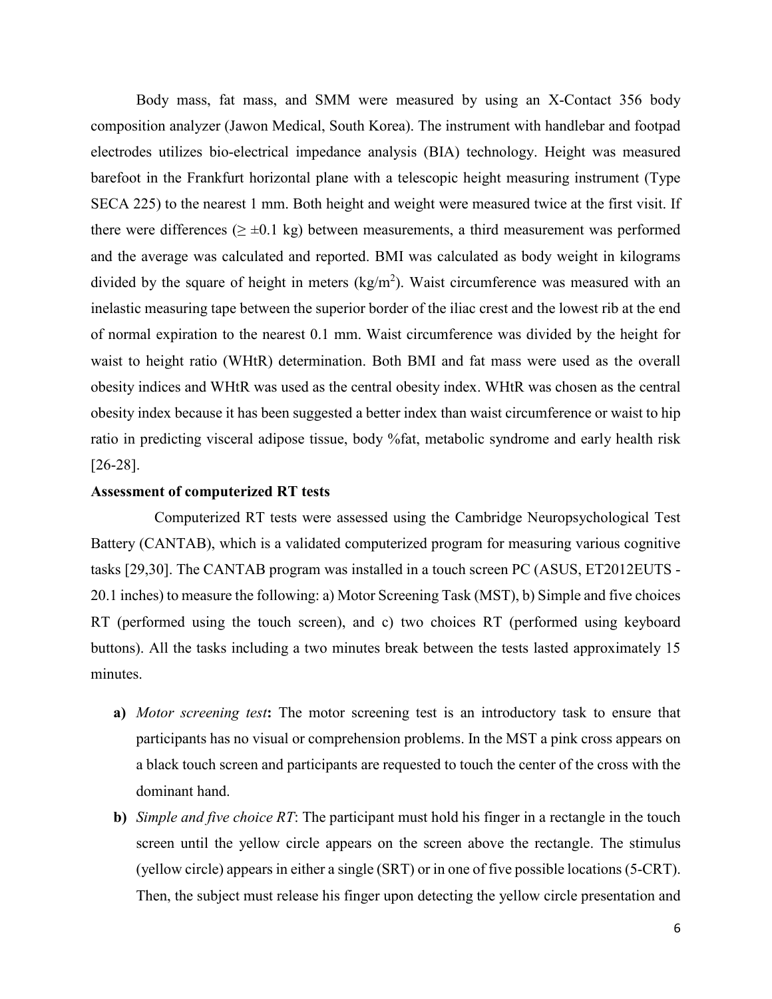Body mass, fat mass, and SMM were measured by using an X-Contact 356 body composition analyzer (Jawon Medical, South Korea). The instrument with handlebar and footpad electrodes utilizes bio-electrical impedance analysis (BIA) technology. Height was measured barefoot in the Frankfurt horizontal plane with a telescopic height measuring instrument (Type SECA 225) to the nearest 1 mm. Both height and weight were measured twice at the first visit. If there were differences ( $\geq \pm 0.1$  kg) between measurements, a third measurement was performed and the average was calculated and reported. BMI was calculated as body weight in kilograms divided by the square of height in meters  $(kg/m^2)$ . Waist circumference was measured with an inelastic measuring tape between the superior border of the iliac crest and the lowest rib at the end of normal expiration to the nearest 0.1 mm. Waist circumference was divided by the height for waist to height ratio (WHtR) determination. Both BMI and fat mass were used as the overall obesity indices and WHtR was used as the central obesity index. WHtR was chosen as the central obesity index because it has been suggested a better index than waist circumference or waist to hip ratio in predicting visceral adipose tissue, body %fat, metabolic syndrome and early health risk [26-28].

## **Assessment of computerized RT tests**

Computerized RT tests were assessed using the Cambridge Neuropsychological Test Battery (CANTAB), which is a validated computerized program for measuring various cognitive tasks [29,30]. The CANTAB program was installed in a touch screen PC (ASUS, ET2012EUTS - 20.1 inches) to measure the following: a) Motor Screening Task (MST), b) Simple and five choices RT (performed using the touch screen), and c) two choices RT (performed using keyboard buttons). All the tasks including a two minutes break between the tests lasted approximately 15 minutes.

- **a)** *Motor screening test***:** The motor screening test is an introductory task to ensure that participants has no visual or comprehension problems. In the MST a pink cross appears on a black touch screen and participants are requested to touch the center of the cross with the dominant hand.
- **b)** *Simple and five choice RT*: The participant must hold his finger in a rectangle in the touch screen until the yellow circle appears on the screen above the rectangle. The stimulus (yellow circle) appears in either a single (SRT) or in one of five possible locations (5-CRT). Then, the subject must release his finger upon detecting the yellow circle presentation and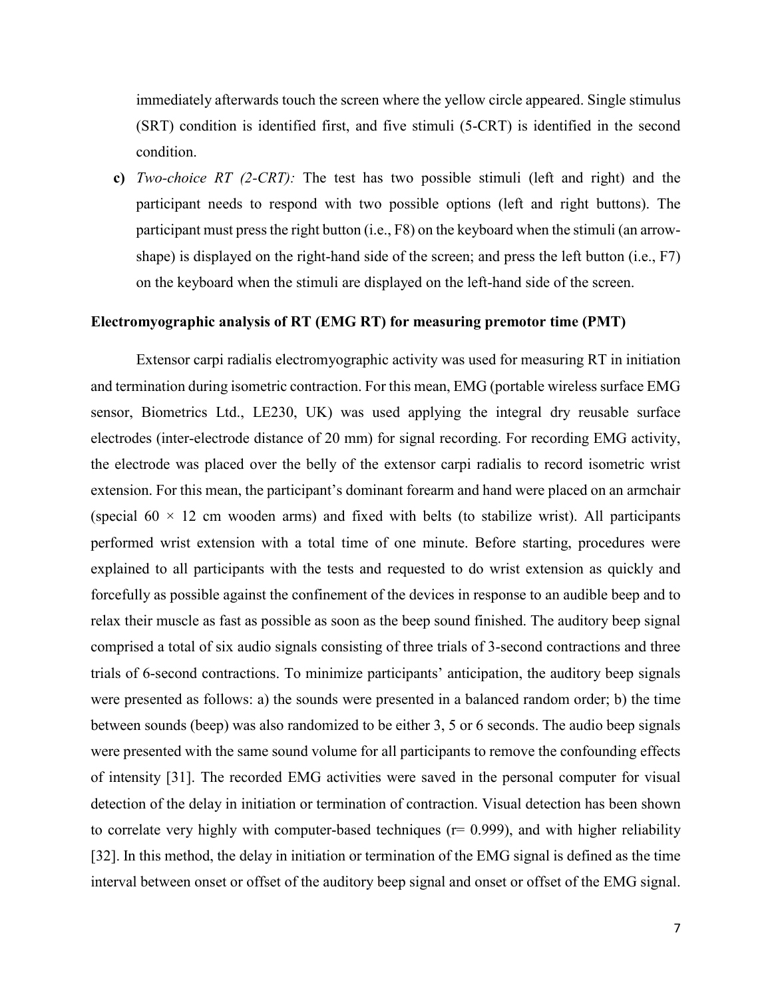immediately afterwards touch the screen where the yellow circle appeared. Single stimulus (SRT) condition is identified first, and five stimuli (5-CRT) is identified in the second condition.

**c)** *Two-choice RT (2-CRT):* The test has two possible stimuli (left and right) and the participant needs to respond with two possible options (left and right buttons). The participant must press the right button (i.e., F8) on the keyboard when the stimuli (an arrowshape) is displayed on the right-hand side of the screen; and press the left button (i.e., F7) on the keyboard when the stimuli are displayed on the left-hand side of the screen.

## **Electromyographic analysis of RT (EMG RT) for measuring premotor time (PMT)**

Extensor carpi radialis electromyographic activity was used for measuring RT in initiation and termination during isometric contraction. For this mean, EMG (portable wireless surface EMG sensor, Biometrics Ltd., LE230, UK) was used applying the integral dry reusable surface electrodes (inter-electrode distance of 20 mm) for signal recording. For recording EMG activity, the electrode was placed over the belly of the extensor carpi radialis to record isometric wrist extension. For this mean, the participant's dominant forearm and hand were placed on an armchair (special  $60 \times 12$  cm wooden arms) and fixed with belts (to stabilize wrist). All participants performed wrist extension with a total time of one minute. Before starting, procedures were explained to all participants with the tests and requested to do wrist extension as quickly and forcefully as possible against the confinement of the devices in response to an audible beep and to relax their muscle as fast as possible as soon as the beep sound finished. The auditory beep signal comprised a total of six audio signals consisting of three trials of 3-second contractions and three trials of 6-second contractions. To minimize participants' anticipation, the auditory beep signals were presented as follows: a) the sounds were presented in a balanced random order; b) the time between sounds (beep) was also randomized to be either 3, 5 or 6 seconds. The audio beep signals were presented with the same sound volume for all participants to remove the confounding effects of intensity [31]. The recorded EMG activities were saved in the personal computer for visual detection of the delay in initiation or termination of contraction. Visual detection has been shown to correlate very highly with computer-based techniques ( $r= 0.999$ ), and with higher reliability [32]. In this method, the delay in initiation or termination of the EMG signal is defined as the time interval between onset or offset of the auditory beep signal and onset or offset of the EMG signal.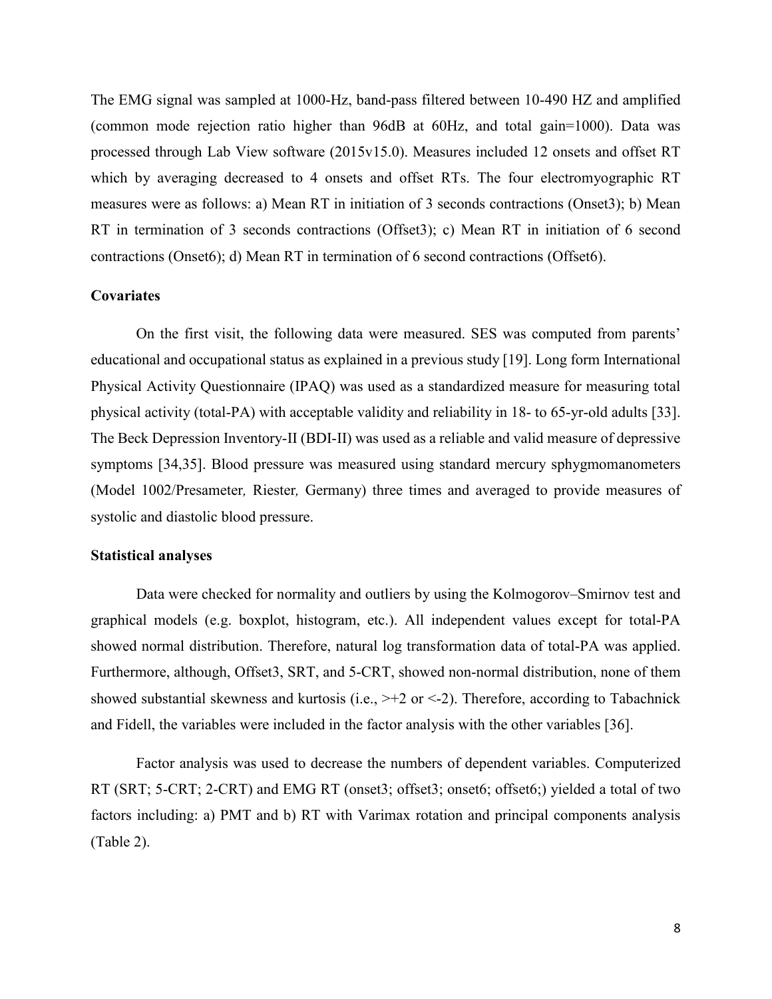The EMG signal was sampled at 1000-Hz, band-pass filtered between 10-490 HZ and amplified (common mode rejection ratio higher than 96dB at 60Hz, and total gain=1000). Data was processed through Lab View software (2015v15.0). Measures included 12 onsets and offset RT which by averaging decreased to 4 onsets and offset RTs. The four electromyographic RT measures were as follows: a) Mean RT in initiation of 3 seconds contractions (Onset3); b) Mean RT in termination of 3 seconds contractions (Offset3); c) Mean RT in initiation of 6 second contractions (Onset6); d) Mean RT in termination of 6 second contractions (Offset6).

### **Covariates**

On the first visit, the following data were measured. SES was computed from parents' educational and occupational status as explained in a previous study [19]. Long form International Physical Activity Questionnaire (IPAQ) was used as a standardized measure for measuring total physical activity (total-PA) with acceptable validity and reliability in 18- to 65-yr-old adults [33]. The Beck Depression Inventory-II (BDI-II) was used as a reliable and valid measure of depressive symptoms [34,35]. Blood pressure was measured using standard mercury sphygmomanometers (Model 1002/Presameter*,* Riester*,* Germany) three times and averaged to provide measures of systolic and diastolic blood pressure.

#### **Statistical analyses**

Data were checked for normality and outliers by using the Kolmogorov–Smirnov test and graphical models (e.g. boxplot, histogram, etc.). All independent values except for total-PA showed normal distribution. Therefore, natural log transformation data of total-PA was applied. Furthermore, although, Offset3, SRT, and 5-CRT, showed non-normal distribution, none of them showed substantial skewness and kurtosis (i.e.,  $> +2$  or <-2). Therefore, according to Tabachnick and Fidell, the variables were included in the factor analysis with the other variables [36].

Factor analysis was used to decrease the numbers of dependent variables. Computerized RT (SRT; 5-CRT; 2-CRT) and EMG RT (onset3; offset3; onset6; offset6;) yielded a total of two factors including: a) PMT and b) RT with Varimax rotation and principal components analysis (Table 2).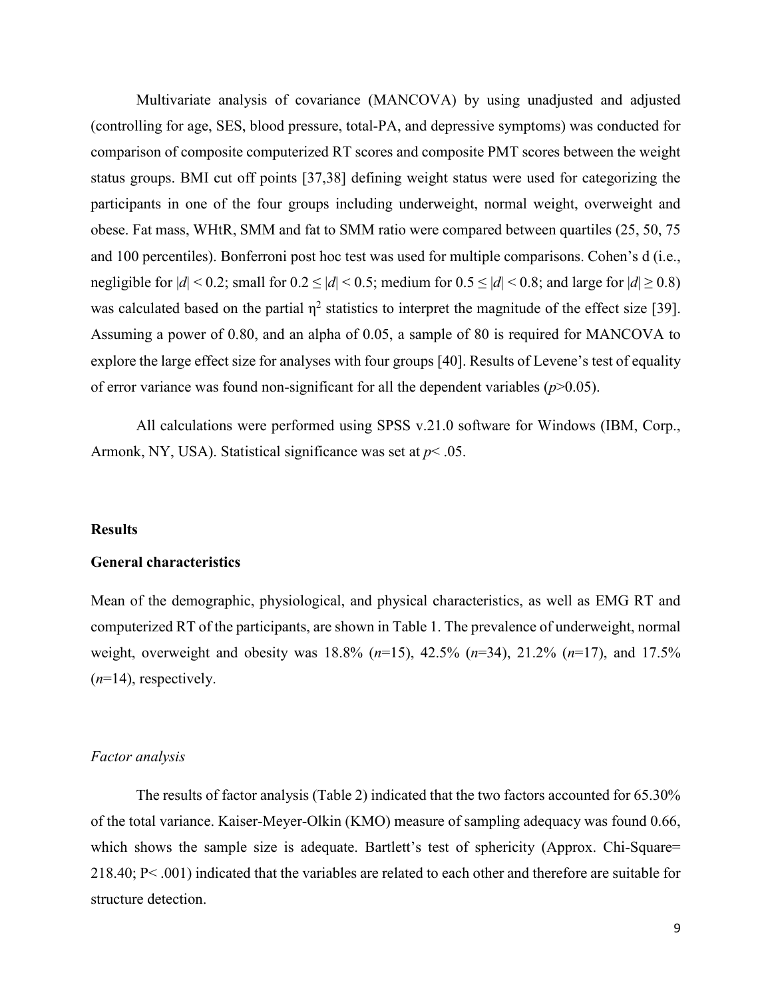Multivariate analysis of covariance (MANCOVA) by using unadjusted and adjusted (controlling for age, SES, blood pressure, total-PA, and depressive symptoms) was conducted for comparison of composite computerized RT scores and composite PMT scores between the weight status groups. BMI cut off points [37,38] defining weight status were used for categorizing the participants in one of the four groups including underweight, normal weight, overweight and obese. Fat mass, WHtR, SMM and fat to SMM ratio were compared between quartiles (25, 50, 75 and 100 percentiles). Bonferroni post hoc test was used for multiple comparisons. Cohen's d (i.e., negligible for  $|d| < 0.2$ ; small for  $0.2 \le |d| < 0.5$ ; medium for  $0.5 \le |d| < 0.8$ ; and large for  $|d| \ge 0.8$ ) was calculated based on the partial  $\eta^2$  statistics to interpret the magnitude of the effect size [39]. Assuming a power of 0.80, and an alpha of 0.05, a sample of 80 is required for MANCOVA to explore the large effect size for analyses with four groups [40]. Results of Levene's test of equality of error variance was found non-significant for all the dependent variables (*p*>0.05).

All calculations were performed using SPSS v.21.0 software for Windows (IBM, Corp., Armonk, NY, USA). Statistical significance was set at *p*< .05.

#### **Results**

#### **General characteristics**

Mean of the demographic, physiological, and physical characteristics, as well as EMG RT and computerized RT of the participants, are shown in Table 1. The prevalence of underweight, normal weight, overweight and obesity was 18.8% (*n*=15), 42.5% (*n*=34), 21.2% (*n*=17), and 17.5% (*n*=14), respectively.

#### *Factor analysis*

The results of factor analysis (Table 2) indicated that the two factors accounted for 65.30% of the total variance. Kaiser-Meyer-Olkin (KMO) measure of sampling adequacy was found 0.66, which shows the sample size is adequate. Bartlett's test of sphericity (Approx. Chi-Square= 218.40; P< .001) indicated that the variables are related to each other and therefore are suitable for structure detection.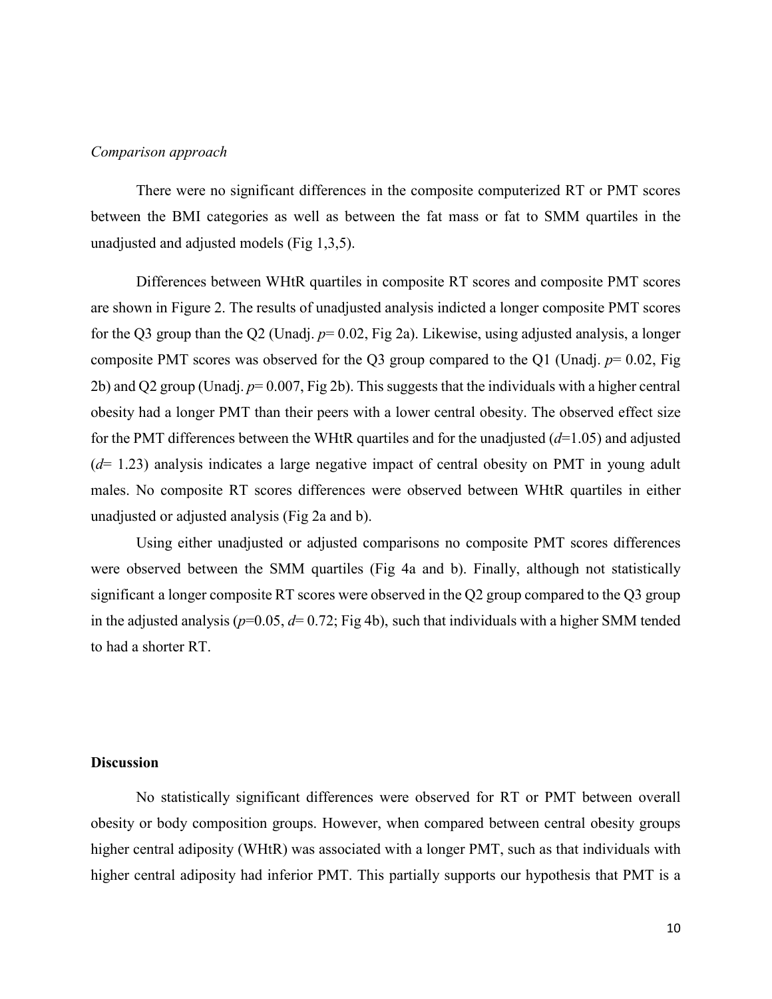### *Comparison approach*

There were no significant differences in the composite computerized RT or PMT scores between the BMI categories as well as between the fat mass or fat to SMM quartiles in the unadjusted and adjusted models (Fig 1,3,5).

Differences between WHtR quartiles in composite RT scores and composite PMT scores are shown in Figure 2. The results of unadjusted analysis indicted a longer composite PMT scores for the Q3 group than the Q2 (Unadj. *p*= 0.02, Fig 2a). Likewise, using adjusted analysis, a longer composite PMT scores was observed for the Q3 group compared to the Q1 (Unadj. *p*= 0.02, Fig 2b) and Q2 group (Unadj. *p*= 0.007, Fig 2b). This suggests that the individuals with a higher central obesity had a longer PMT than their peers with a lower central obesity. The observed effect size for the PMT differences between the WHtR quartiles and for the unadjusted (*d*=1.05) and adjusted (*d*= 1.23) analysis indicates a large negative impact of central obesity on PMT in young adult males. No composite RT scores differences were observed between WHtR quartiles in either unadjusted or adjusted analysis (Fig 2a and b).

Using either unadjusted or adjusted comparisons no composite PMT scores differences were observed between the SMM quartiles (Fig 4a and b). Finally, although not statistically significant a longer composite RT scores were observed in the Q2 group compared to the Q3 group in the adjusted analysis ( $p=0.05$ ,  $d=0.72$ ; Fig 4b), such that individuals with a higher SMM tended to had a shorter RT.

## **Discussion**

No statistically significant differences were observed for RT or PMT between overall obesity or body composition groups. However, when compared between central obesity groups higher central adiposity (WHtR) was associated with a longer PMT, such as that individuals with higher central adiposity had inferior PMT. This partially supports our hypothesis that PMT is a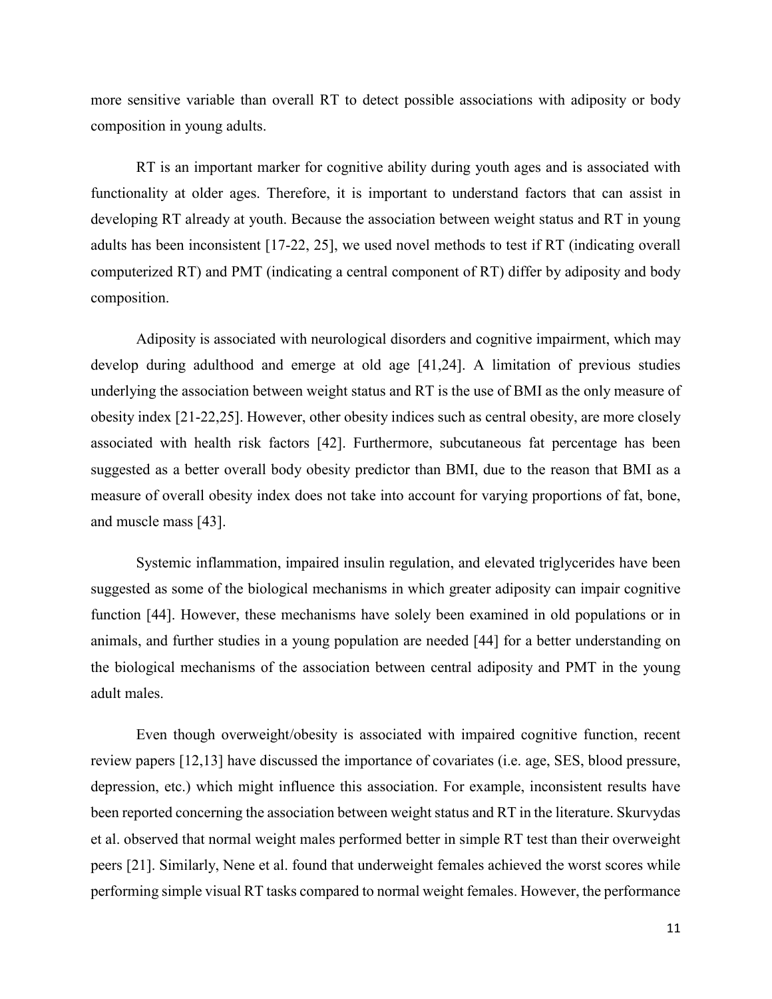more sensitive variable than overall RT to detect possible associations with adiposity or body composition in young adults.

RT is an important marker for cognitive ability during youth ages and is associated with functionality at older ages. Therefore, it is important to understand factors that can assist in developing RT already at youth. Because the association between weight status and RT in young adults has been inconsistent [17-22, 25], we used novel methods to test if RT (indicating overall computerized RT) and PMT (indicating a central component of RT) differ by adiposity and body composition.

Adiposity is associated with neurological disorders and cognitive impairment, which may develop during adulthood and emerge at old age [41,24]. A limitation of previous studies underlying the association between weight status and RT is the use of BMI as the only measure of obesity index [21-22,25]. However, other obesity indices such as central obesity, are more closely associated with health risk factors [42]. Furthermore, subcutaneous fat percentage has been suggested as a better overall body obesity predictor than BMI, due to the reason that BMI as a measure of overall obesity index does not take into account for varying proportions of fat, bone, and muscle mass [43].

Systemic inflammation, impaired insulin regulation, and elevated triglycerides have been suggested as some of the biological mechanisms in which greater adiposity can impair cognitive function [44]. However, these mechanisms have solely been examined in old populations or in animals, and further studies in a young population are needed [44] for a better understanding on the biological mechanisms of the association between central adiposity and PMT in the young adult males.

Even though overweight/obesity is associated with impaired cognitive function, recent review papers [12,13] have discussed the importance of covariates (i.e. age, SES, blood pressure, depression, etc.) which might influence this association. For example, inconsistent results have been reported concerning the association between weight status and RT in the literature. Skurvydas et al. observed that normal weight males performed better in simple RT test than their overweight peers [21]. Similarly, Nene et al. found that underweight females achieved the worst scores while performing simple visual RT tasks compared to normal weight females. However, the performance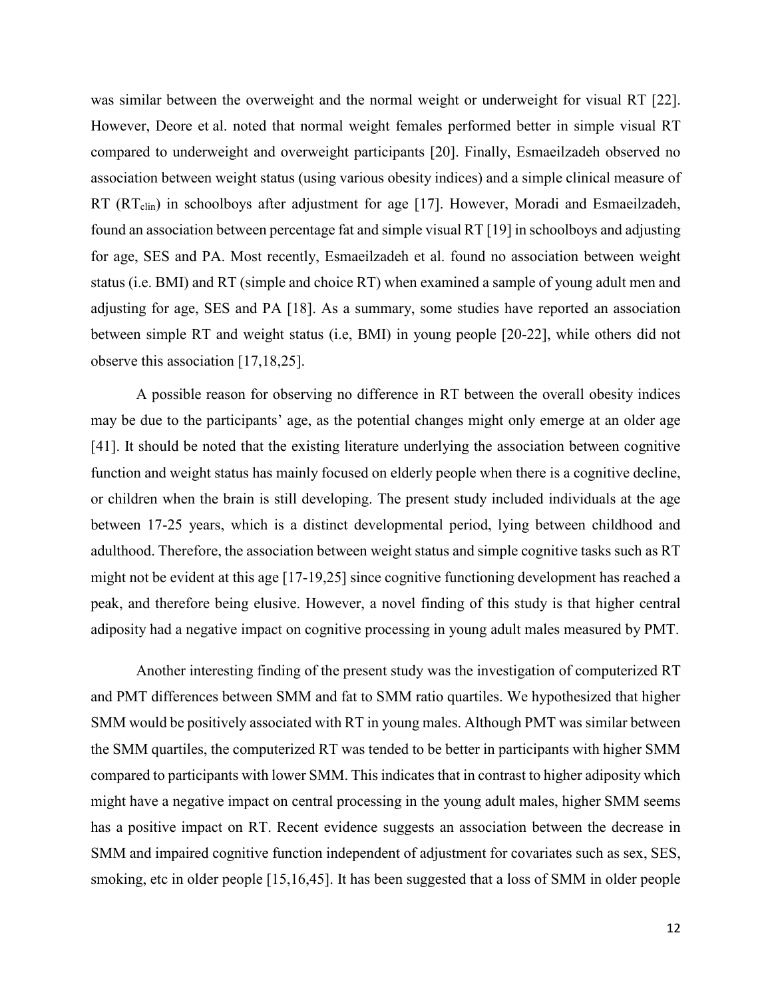was similar between the overweight and the normal weight or underweight for visual RT [22]. However, Deore et al. noted that normal weight females performed better in simple visual RT compared to underweight and overweight participants [20]. Finally, Esmaeilzadeh observed no association between weight status (using various obesity indices) and a simple clinical measure of RT (RT<sub>clin</sub>) in schoolboys after adjustment for age [17]. However, Moradi and Esmaeilzadeh, found an association between percentage fat and simple visual RT [19] in schoolboys and adjusting for age, SES and PA. Most recently, Esmaeilzadeh et al. found no association between weight status (i.e. BMI) and RT (simple and choice RT) when examined a sample of young adult men and adjusting for age, SES and PA [18]. As a summary, some studies have reported an association between simple RT and weight status (i.e, BMI) in young people [20-22], while others did not observe this association [17,18,25].

A possible reason for observing no difference in RT between the overall obesity indices may be due to the participants' age, as the potential changes might only emerge at an older age [41]. It should be noted that the existing literature underlying the association between cognitive function and weight status has mainly focused on elderly people when there is a cognitive decline, or children when the brain is still developing. The present study included individuals at the age between 17-25 years, which is a distinct developmental period, lying between childhood and adulthood. Therefore, the association between weight status and simple cognitive tasks such as RT might not be evident at this age [17-19,25] since cognitive functioning development has reached a peak, and therefore being elusive. However, a novel finding of this study is that higher central adiposity had a negative impact on cognitive processing in young adult males measured by PMT.

Another interesting finding of the present study was the investigation of computerized RT and PMT differences between SMM and fat to SMM ratio quartiles. We hypothesized that higher SMM would be positively associated with RT in young males. Although PMT was similar between the SMM quartiles, the computerized RT was tended to be better in participants with higher SMM compared to participants with lower SMM. This indicates that in contrast to higher adiposity which might have a negative impact on central processing in the young adult males, higher SMM seems has a positive impact on RT. Recent evidence suggests an association between the decrease in SMM and impaired cognitive function independent of adjustment for covariates such as sex, SES, smoking, etc in older people [15,16,45]. It has been suggested that a loss of SMM in older people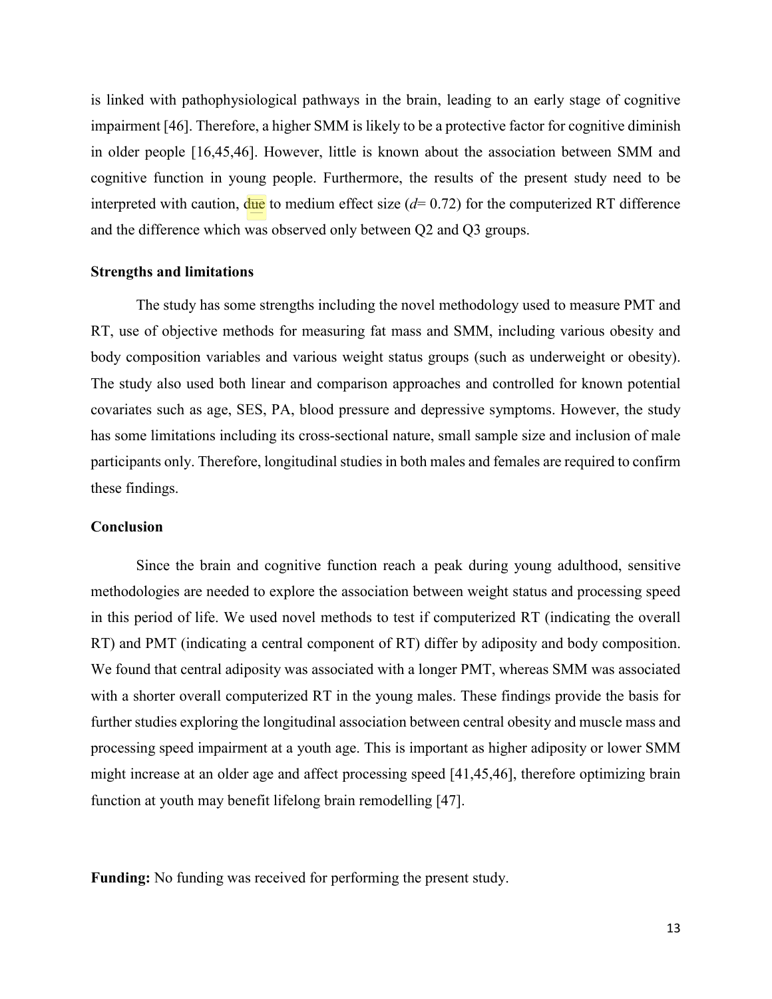is linked with pathophysiological pathways in the brain, leading to an early stage of cognitive impairment [46]. Therefore, a higher SMM is likely to be a protective factor for cognitive diminish in older people [16,45,46]. However, little is known about the association between SMM and cognitive function in young people. Furthermore, the results of the present study need to be interpreted with caution,  $\frac{du}{dt}$  to medium effect size ( $d= 0.72$ ) for the computerized RT difference and the difference which was observed only between Q2 and Q3 groups.

### **Strengths and limitations**

The study has some strengths including the novel methodology used to measure PMT and RT, use of objective methods for measuring fat mass and SMM, including various obesity and body composition variables and various weight status groups (such as underweight or obesity). The study also used both linear and comparison approaches and controlled for known potential covariates such as age, SES, PA, blood pressure and depressive symptoms. However, the study has some limitations including its cross-sectional nature, small sample size and inclusion of male participants only. Therefore, longitudinal studies in both males and females are required to confirm these findings.

## **Conclusion**

Since the brain and cognitive function reach a peak during young adulthood, sensitive methodologies are needed to explore the association between weight status and processing speed in this period of life. We used novel methods to test if computerized RT (indicating the overall RT) and PMT (indicating a central component of RT) differ by adiposity and body composition. We found that central adiposity was associated with a longer PMT, whereas SMM was associated with a shorter overall computerized RT in the young males. These findings provide the basis for further studies exploring the longitudinal association between central obesity and muscle mass and processing speed impairment at a youth age. This is important as higher adiposity or lower SMM might increase at an older age and affect processing speed [41,45,46], therefore optimizing brain function at youth may benefit lifelong brain remodelling [47].

**Funding:** No funding was received for performing the present study.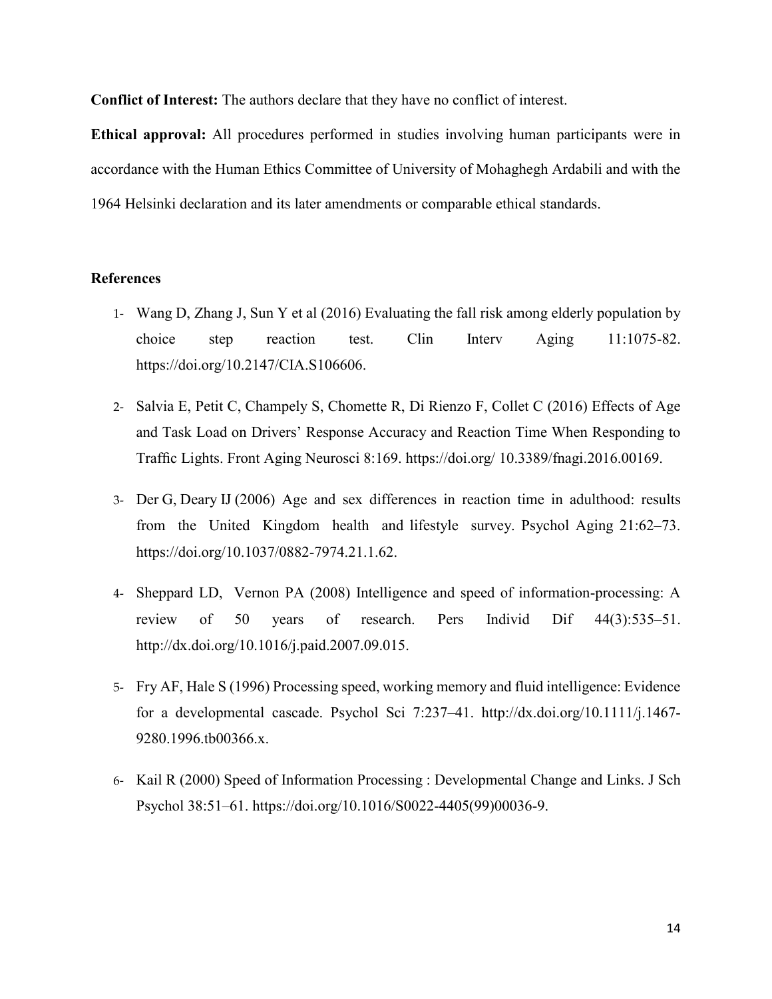**Conflict of Interest:** The authors declare that they have no conflict of interest.

**Ethical approval:** All procedures performed in studies involving human participants were in accordance with the Human Ethics Committee of University of Mohaghegh Ardabili and with the 1964 Helsinki declaration and its later amendments or comparable ethical standards.

# **References**

- 1- [Wang D,](https://www.ncbi.nlm.nih.gov/pubmed/?term=Wang%20D%5BAuthor%5D&cauthor=true&cauthor_uid=27563238) [Zhang J,](https://www.ncbi.nlm.nih.gov/pubmed/?term=Zhang%20J%5BAuthor%5D&cauthor=true&cauthor_uid=27563238) [Sun Y](https://www.ncbi.nlm.nih.gov/pubmed/?term=Sun%20Y%5BAuthor%5D&cauthor=true&cauthor_uid=27563238) et al (2016) Evaluating the fall risk among elderly population by choice step reaction test. [Clin Interv Aging](https://www.ncbi.nlm.nih.gov/pubmed/27563238) 11:1075-82. [https://doi.org/10.2147/CIA.S106606.](https://doi.org/10.2147/CIA.S106606)
- 2- [Salvia E,](https://www.ncbi.nlm.nih.gov/pubmed/?term=Salvia%20E%5BAuthor%5D&cauthor=true&cauthor_uid=27462266) [Petit C,](https://www.ncbi.nlm.nih.gov/pubmed/?term=Petit%20C%5BAuthor%5D&cauthor=true&cauthor_uid=27462266) [Champely S,](https://www.ncbi.nlm.nih.gov/pubmed/?term=Champely%20S%5BAuthor%5D&cauthor=true&cauthor_uid=27462266) [Chomette R,](https://www.ncbi.nlm.nih.gov/pubmed/?term=Chomette%20R%5BAuthor%5D&cauthor=true&cauthor_uid=27462266) [Di Rienzo F,](https://www.ncbi.nlm.nih.gov/pubmed/?term=Di%20Rienzo%20F%5BAuthor%5D&cauthor=true&cauthor_uid=27462266) [Collet C](https://www.ncbi.nlm.nih.gov/pubmed/?term=Collet%20C%5BAuthor%5D&cauthor=true&cauthor_uid=27462266) (2016) Effects of Age and Task Load on Drivers' Response Accuracy and Reaction Time When Responding to Traffic Lights. [Front Aging Neurosci](https://www.ncbi.nlm.nih.gov/pubmed/27462266) 8:169. https://doi.org/ 10.3389/fnagi.2016.00169.
- 3- Der G, Deary IJ (2006) Age and sex differences in reaction time in adulthood: results from the United Kingdom health and lifestyle survey. Psychol Aging 21:62–73. https://doi.org/10.1037/0882-7974.21.1.62.
- 4- Sheppard LD, Vernon PA (2008) Intelligence and speed of information-processing: A review of 50 years of research. Pers Individ Dif 44(3):535–51. [http://dx.doi.org/10.1016/j.paid.2007.09.015.](http://dx.doi.org/10.1016/j.paid.2007.09.015)
- 5- Fry AF, Hale S (1996) Processing speed, working memory and fluid intelligence: Evidence for a developmental cascade. Psychol Sci 7:237–41. [http://dx.doi.org/10.1111/j.1467-](https://psycnet.apa.org/doi/10.1111/j.1467-9280.1996.tb00366.x) [9280.1996.tb00366.x.](https://psycnet.apa.org/doi/10.1111/j.1467-9280.1996.tb00366.x)
- 6- Kail R (2000) Speed of Information Processing : Developmental Change and Links. J Sch Psychol 38:51–61. [https://doi.org/10.1016/S0022-4405\(99\)00036-9.](https://doi.org/10.1016/S0022-4405(99)00036-9)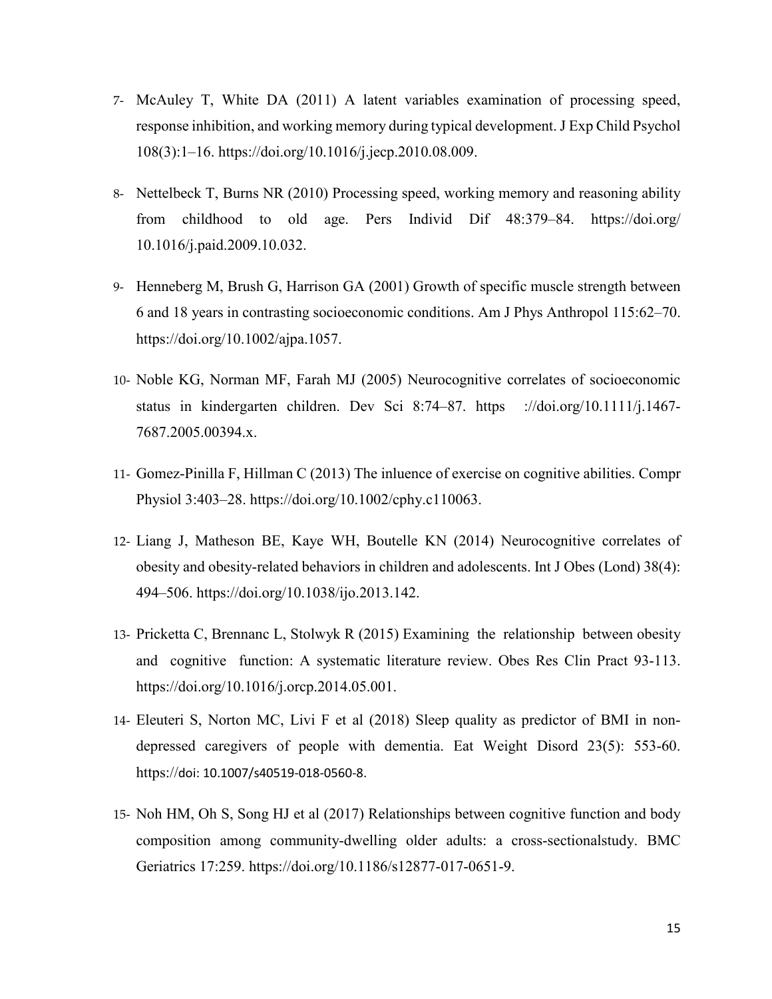- 7- McAuley T, White DA (2011) A latent variables examination of processing speed, response inhibition, and working memory during typical development. J Exp Child Psychol 108(3):1–16. https://doi.org/10.1016/j.jecp.2010.08.009.
- 8- Nettelbeck T, Burns NR (2010) Processing speed, working memory and reasoning ability from childhood to old age. Pers Individ Dif 48:379–84. https://doi.org/ 10.1016/j.paid.2009.10.032.
- 9- Henneberg M, Brush G, Harrison GA (2001) Growth of specific muscle strength between 6 and 18 years in contrasting socioeconomic conditions. Am J Phys Anthropol 115:62–70. [https://doi.org/10.1002/ajpa.1057.](https://doi.org/10.1002/ajpa.1057)
- 10- Noble KG, Norman MF, Farah MJ (2005) Neurocognitive correlates of socioeconomic status in kindergarten children. Dev Sci 8:74–87. https ://doi.org/10.1111/j.1467- 7687.2005.00394.x.
- 11- Gomez-Pinilla F, Hillman C (2013) The inluence of exercise on cognitive abilities. Compr Physiol 3:403–28. [https://doi.org/10.1002/cphy.c110063.](https://doi.org/10.1002/cphy.c110063)
- 12- Liang J, Matheson BE, Kaye WH, Boutelle KN (2014) Neurocognitive correlates of obesity and obesity-related behaviors in children and adolescents. Int J Obes (Lond) 38(4): 494–506. [https://doi.org/10.1038/ijo.2013.142.](https://doi.org/10.1038/ijo.2013.142)
- 13- Pricketta C, Brennanc L, Stolwyk R (2015) Examining the relationship between obesity and cognitive function: A systematic literature review. [Obes Res Clin Pract](https://www.sciencedirect.com/science/journal/1871403X) 93-113. [https://doi.org/10.1016/j.orcp.2014.05.001.](https://doi.org/10.1016/j.orcp.2014.05.001)
- 14- Eleuteri S, Norton MC, Livi F et al (2018) Sleep quality as predictor of BMI in nondepressed caregivers of people with dementia. [Eat Weight Disord](https://www.ncbi.nlm.nih.gov/pubmed/30446937) 23(5): 553-60. https://doi: 10.1007/s40519-018-0560-8.
- 15- [Noh HM,](https://www.ncbi.nlm.nih.gov/pubmed/?term=Noh%20HM%5BAuthor%5D&cauthor=true&cauthor_uid=29096612) [Oh S,](https://www.ncbi.nlm.nih.gov/pubmed/?term=Oh%20S%5BAuthor%5D&cauthor=true&cauthor_uid=29096612) [Song HJ](https://www.ncbi.nlm.nih.gov/pubmed/?term=Song%20HJ%5BAuthor%5D&cauthor=true&cauthor_uid=29096612) et al (2017) Relationships between cognitive function and body composition among community-dwelling older adults: a cross-sectionalstudy. BMC Geriatrics 17:259. https://doi.org/10.1186/s12877-017-0651-9.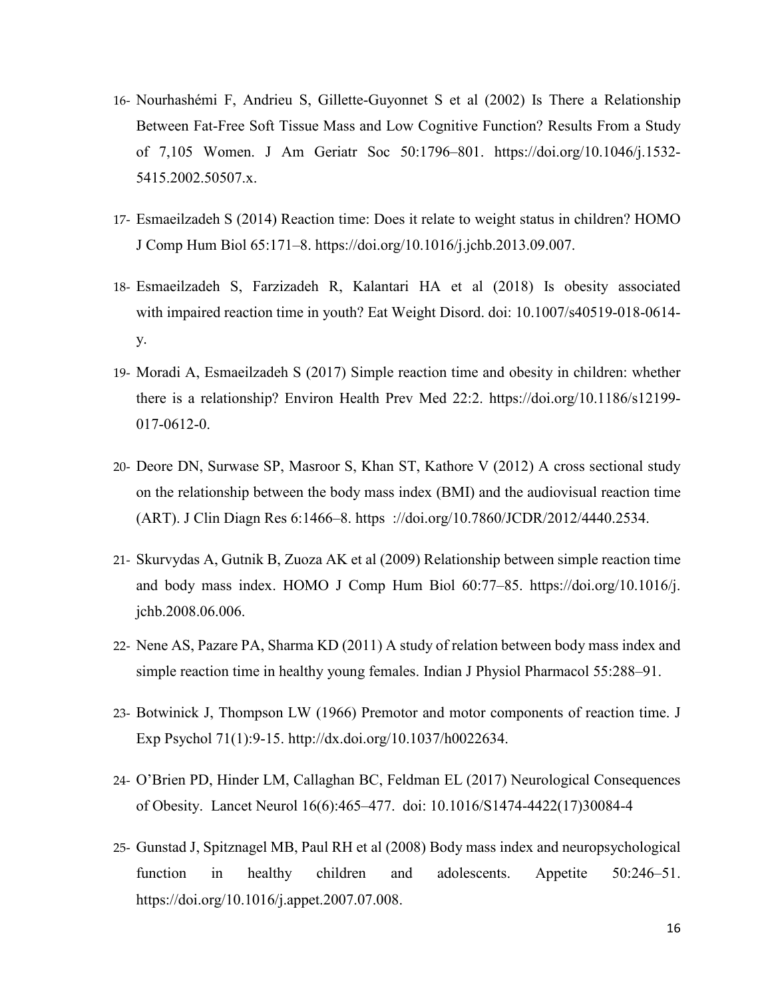- 16- [Nourhashémi F,](https://www.ncbi.nlm.nih.gov/pubmed/?term=Nourhash%C3%A9mi%20F%5BAuthor%5D&cauthor=true&cauthor_uid=12410897) [Andrieu S,](https://www.ncbi.nlm.nih.gov/pubmed/?term=Andrieu%20S%5BAuthor%5D&cauthor=true&cauthor_uid=12410897) [Gillette-Guyonnet S](https://www.ncbi.nlm.nih.gov/pubmed/?term=Gillette-Guyonnet%20S%5BAuthor%5D&cauthor=true&cauthor_uid=12410897) et al (2002) Is There a Relationship Between Fat-Free Soft Tissue Mass and Low Cognitive Function? Results From a Study of 7,105 Women. J Am Geriatr Soc 50:1796–801. [https://doi.org/10.1046/j.1532-](https://doi.org/10.1046/j.1532-5415.2002.50507.x) [5415.2002.50507.x.](https://doi.org/10.1046/j.1532-5415.2002.50507.x)
- 17- Esmaeilzadeh S (2014) Reaction time: Does it relate to weight status in children? HOMO J Comp Hum Biol 65:171–8. https://doi.org/10.1016/j.jchb.2013.09.007.
- 18- [Esmaeilzadeh S,](https://www.ncbi.nlm.nih.gov/pubmed/?term=Esmaeilzadeh%20S%5BAuthor%5D&cauthor=true&cauthor_uid=30446937) [Farzizadeh R,](https://www.ncbi.nlm.nih.gov/pubmed/?term=Farzizadeh%20R%5BAuthor%5D&cauthor=true&cauthor_uid=30446937) [Kalantari HA](https://www.ncbi.nlm.nih.gov/pubmed/?term=Kalantari%20HA%5BAuthor%5D&cauthor=true&cauthor_uid=30446937) et al (2018) Is obesity associated with impaired reaction time in youth? [Eat Weight Disord.](https://www.ncbi.nlm.nih.gov/pubmed/30446937) doi: 10.1007/s40519-018-0614 y.
- 19- Moradi A, Esmaeilzadeh S (2017) Simple reaction time and obesity in children: whether there is a relationship? Environ Health Prev Med 22:2. https://doi.org/10.1186/s12199- 017-0612-0.
- 20- Deore DN, Surwase SP, Masroor S, Khan ST, Kathore V (2012) A cross sectional study on the relationship between the body mass index (BMI) and the audiovisual reaction time (ART). J Clin Diagn Res 6:1466–8. https ://doi.org/10.7860/JCDR/2012/4440.2534.
- 21- Skurvydas A, Gutnik B, Zuoza AK et al (2009) Relationship between simple reaction time and body mass index. HOMO J Comp Hum Biol 60:77–85. https://doi.org/10.1016/j. jchb.2008.06.006.
- 22- Nene AS, Pazare PA, Sharma KD (2011) A study of relation between body mass index and simple reaction time in healthy young females. Indian J Physiol Pharmacol 55:288–91.
- 23- Botwinick J, Thompson LW (1966) Premotor and motor components of reaction time. J Exp Psychol 71(1):9-15. [http://dx.doi.org/10.1037/h0022634.](https://psycnet.apa.org/doi/10.1037/h0022634)
- 24- [O'Brien](https://www.ncbi.nlm.nih.gov/pubmed/?term=O%26%23x02019%3BBrien%20PD%5BAuthor%5D&cauthor=true&cauthor_uid=28504110) PD[, Hinder](https://www.ncbi.nlm.nih.gov/pubmed/?term=Hinder%20LM%5BAuthor%5D&cauthor=true&cauthor_uid=28504110) LM, [Callaghan](https://www.ncbi.nlm.nih.gov/pubmed/?term=Callaghan%20BC%5BAuthor%5D&cauthor=true&cauthor_uid=28504110) BC, [Feldman](https://www.ncbi.nlm.nih.gov/pubmed/?term=Feldman%20EL%5BAuthor%5D&cauthor=true&cauthor_uid=28504110) EL (2017) Neurological Consequences of Obesity. [Lancet Neurol 16\(6\):465–477.](https://www.ncbi.nlm.nih.gov/entrez/eutils/elink.fcgi?dbfrom=pubmed&retmode=ref&cmd=prlinks&id=28504110) doi: [10.1016/S1474-4422\(17\)30084-4](https://dx.doi.org/10.1016%2FS1474-4422(17)30084-4)
- 25- Gunstad J, Spitznagel MB, Paul RH et al (2008) Body mass index and neuropsychological function in healthy children and adolescents. Appetite 50:246–51. [https://doi.org/10.1016/j.appet.2007.07.008.](https://doi.org/10.1016/j.appet.2007.07.008)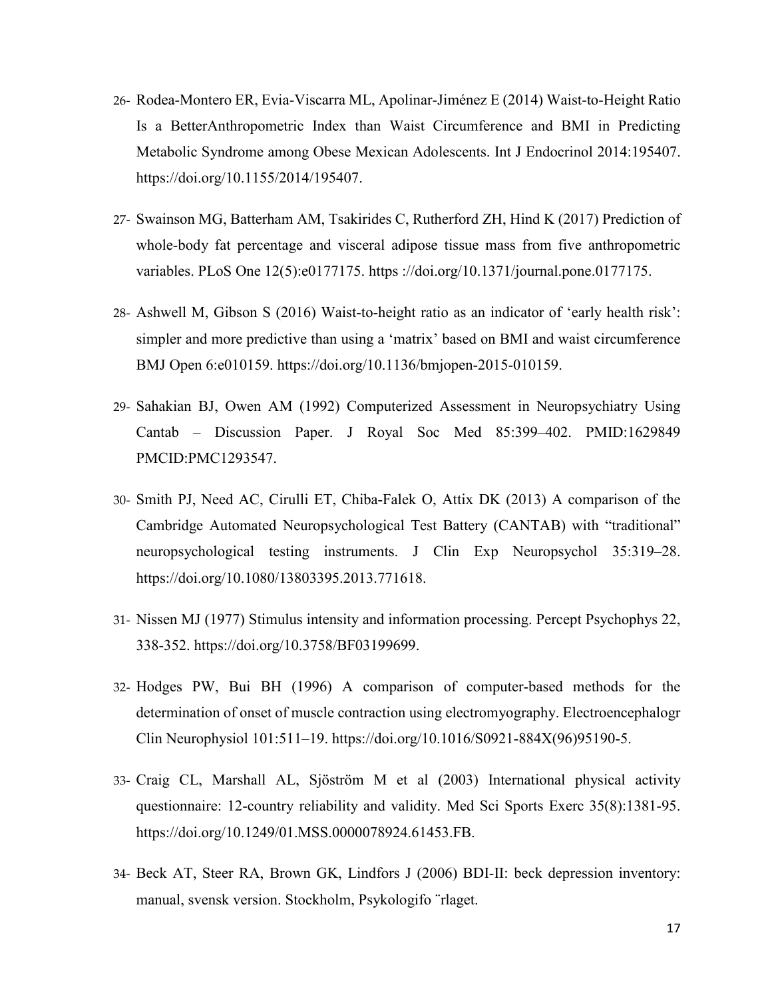- 26- [Rodea-Montero ER,](https://www.ncbi.nlm.nih.gov/pubmed/?term=Rodea-Montero%20ER%5BAuthor%5D&cauthor=true&cauthor_uid=25574166) [Evia-Viscarra ML,](https://www.ncbi.nlm.nih.gov/pubmed/?term=Evia-Viscarra%20ML%5BAuthor%5D&cauthor=true&cauthor_uid=25574166) [Apolinar-Jiménez E](https://www.ncbi.nlm.nih.gov/pubmed/?term=Apolinar-Jim%C3%A9nez%20E%5BAuthor%5D&cauthor=true&cauthor_uid=25574166) (2014) Waist-to-Height Ratio Is a BetterAnthropometric Index than Waist Circumference and BMI in Predicting Metabolic Syndrome among Obese Mexican Adolescents. [Int J Endocrinol](https://www.ncbi.nlm.nih.gov/pubmed/25574166) 2014:195407. [https://doi.org/10.1155/2014/195407.](https://doi.org/10.1155/2014/195407)
- 27- [Swainson MG,](https://www.ncbi.nlm.nih.gov/pubmed/?term=Swainson%20MG%5BAuthor%5D&cauthor=true&cauthor_uid=28493988) [Batterham AM,](https://www.ncbi.nlm.nih.gov/pubmed/?term=Batterham%20AM%5BAuthor%5D&cauthor=true&cauthor_uid=28493988) [Tsakirides C,](https://www.ncbi.nlm.nih.gov/pubmed/?term=Tsakirides%20C%5BAuthor%5D&cauthor=true&cauthor_uid=28493988) [Rutherford ZH,](https://www.ncbi.nlm.nih.gov/pubmed/?term=Rutherford%20ZH%5BAuthor%5D&cauthor=true&cauthor_uid=28493988) [Hind K](https://www.ncbi.nlm.nih.gov/pubmed/?term=Hind%20K%5BAuthor%5D&cauthor=true&cauthor_uid=28493988) (2017) Prediction of whole-body fat percentage and visceral adipose tissue mass from five anthropometric variables. [PLoS One](https://www.ncbi.nlm.nih.gov/pubmed/28493988) 12(5):e0177175. https ://doi.org/10.1371/journal.pone.0177175.
- 28- Ashwell M, Gibson S (2016) Waist-to-height ratio as an indicator of 'early health risk': simpler and more predictive than using a 'matrix' based on BMI and waist circumference BMJ Open 6:e010159. https://doi.org/10.1136/bmjopen-2015-010159.
- 29- Sahakian BJ, Owen AM (1992) Computerized Assessment in Neuropsychiatry Using Cantab – Discussion Paper. J Royal Soc Med 85:399–402. PMID:1629849 PMCID:PMC1293547.
- 30- Smith PJ, Need AC, Cirulli ET, [Chiba-Falek O,](https://www.ncbi.nlm.nih.gov/pubmed/?term=Chiba-Falek%20O%5BAuthor%5D&cauthor=true&cauthor_uid=23444947) [Attix DK](https://www.ncbi.nlm.nih.gov/pubmed/?term=Attix%20DK%5BAuthor%5D&cauthor=true&cauthor_uid=23444947) (2013) A comparison of the Cambridge Automated Neuropsychological Test Battery (CANTAB) with "traditional" neuropsychological testing instruments. J Clin Exp Neuropsychol 35:319–28. https://doi.org/10.1080/13803395.2013.771618.
- 31- Nissen MJ (1977) Stimulus intensity and information processing. Percept Psychophys 22, 338-352. https://doi.org/10.3758/BF03199699.
- 32- Hodges PW, Bui BH (1996) A comparison of computer-based methods for the determination of onset of muscle contraction using electromyography. Electroencephalogr Clin Neurophysiol 101:511–19. [https://doi.org/10.1016/S0921-884X\(96\)95190-5.](https://doi.org/10.1016/S0921-884X(96)95190-5)
- 33- [Craig CL,](https://www.ncbi.nlm.nih.gov/pubmed/?term=Craig%20CL%5BAuthor%5D&cauthor=true&cauthor_uid=12900694) [Marshall AL,](https://www.ncbi.nlm.nih.gov/pubmed/?term=Marshall%20AL%5BAuthor%5D&cauthor=true&cauthor_uid=12900694) [Sjöström M](https://www.ncbi.nlm.nih.gov/pubmed/?term=Sj%C3%B6str%C3%B6m%20M%5BAuthor%5D&cauthor=true&cauthor_uid=12900694) et al (2003) International physical activity questionnaire: 12-country reliability and validity. [Med Sci Sports Exerc](https://www.ncbi.nlm.nih.gov/pubmed/12900694) 35(8):1381-95. https://doi.org/10.1249/01.MSS.0000078924.61453.FB.
- 34- Beck AT, Steer RA, Brown GK, Lindfors J (2006) BDI-II: beck depression inventory: manual, svensk version. Stockholm, Psykologifo ¨rlaget.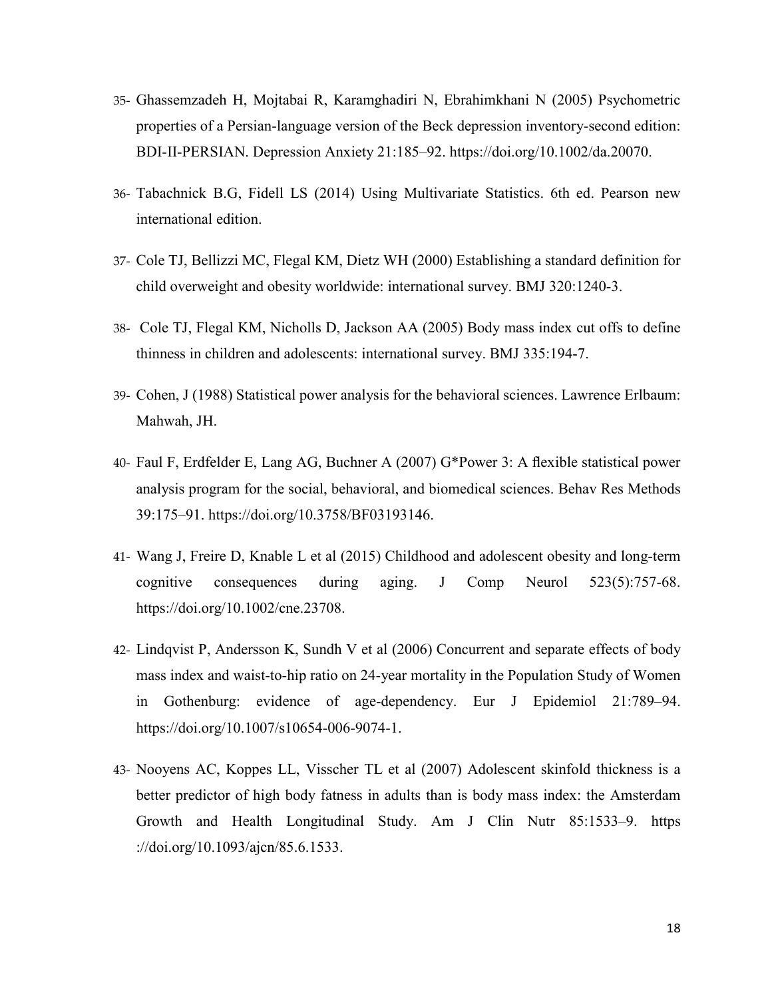- 35- Ghassemzadeh H, Mojtabai R, Karamghadiri N, Ebrahimkhani N (2005) Psychometric properties of a Persian-language version of the Beck depression inventory-second edition: BDI-II-PERSIAN. Depression Anxiety 21:185–92. [https://doi.org/10.1002/da.20070.](https://doi.org/10.1002/da.20070)
- 36- Tabachnick B.G, Fidell LS (2014) Using Multivariate Statistics. 6th ed. Pearson new international edition.
- 37- Cole TJ, Bellizzi MC, Flegal KM, Dietz WH (2000) Establishing a standard definition for child overweight and obesity worldwide: international survey. BMJ 320:1240-3.
- 38- Cole TJ, Flegal KM, Nicholls D, Jackson AA (2005) Body mass index cut offs to define thinness in children and adolescents: international survey. BMJ 335:194-7.
- 39- Cohen, J (1988) Statistical power analysis for the behavioral sciences. Lawrence Erlbaum: Mahwah, JH.
- 40- Faul F, Erdfelder E, Lang AG, Buchner A (2007) G\*Power 3: A flexible statistical power analysis program for the social, behavioral, and biomedical sciences. Behav Res Methods 39:175–91. [https://doi.org/10.3758/BF03193146.](https://doi.org/10.3758/BF03193146)
- 41- [Wang J,](https://www.ncbi.nlm.nih.gov/pubmed/?term=Wang%20J%5BAuthor%5D&cauthor=true&cauthor_uid=25380530) [Freire D,](https://www.ncbi.nlm.nih.gov/pubmed/?term=Freire%20D%5BAuthor%5D&cauthor=true&cauthor_uid=25380530) [Knable L](https://www.ncbi.nlm.nih.gov/pubmed/?term=Knable%20L%5BAuthor%5D&cauthor=true&cauthor_uid=25380530) et al (2015) Childhood and adolescent obesity and long-term cognitive consequences during aging. [J Comp Neurol](https://www.ncbi.nlm.nih.gov/pubmed/25380530) 523(5):757-68. [https://doi.org/10.1002/cne.23708.](https://doi.org/10.1002/cne.23708)
- 42- Lindqvist P, Andersson K, Sundh V et al (2006) Concurrent and separate effects of body mass index and waist-to-hip ratio on 24-year mortality in the Population Study of Women in Gothenburg: evidence of age-dependency. Eur J Epidemiol 21:789–94. [https://doi.org/10.1007/s10654-006-9074-1.](https://doi.org/10.1007/s10654-006-9074-1)
- 43- Nooyens AC, Koppes LL, Visscher TL et al (2007) Adolescent skinfold thickness is a better predictor of high body fatness in adults than is body mass index: the Amsterdam Growth and Health Longitudinal Study. Am J Clin Nutr 85:1533–9. https ://doi.org/10.1093/ajcn/85.6.1533.